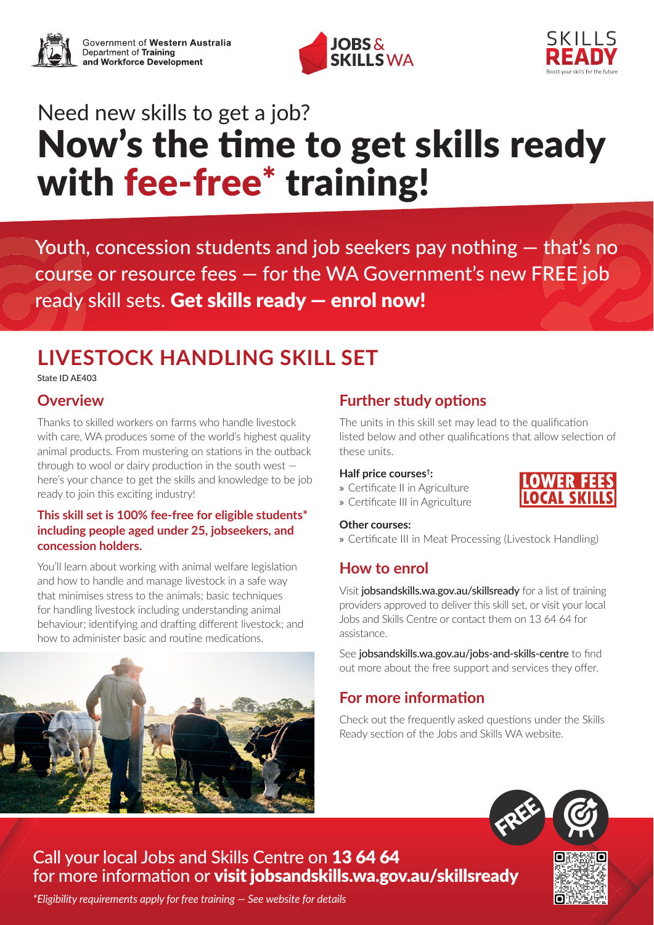



# Need new skills to get a job? Now's the time to get skills ready with fee-free<sup>\*</sup> training!

Youth, concession students and job seekers pay nothing — that's no course or resource fees — for the WA Government's new FREE job ready skill sets. Get skills ready — enrol now!

## **LIVESTOCK HANDLING SKILL SET**

State ID AE403

## **Overview**

Thanks to skilled workers on farms who handle livestock with care. WA produces some of the world's highest quality animal products. From mustering on stations in the outback through to wool or dairy production in the south west here's your chance to get the skills and knowledge to be job ready to join this exciting industry!

#### **This skill set is 100% fee-free for eligible students\* including people aged under 25, jobseekers, and concession holders.**

You'll learn about working with animal welfare legislation and how to handle and manage livestock in a safe way that minimises stress to the animals; basic techniques for handling livestock including understanding animal behaviour; identifying and drafting different livestock; and how to administer basic and routine medications.

## **Further study options**

The units in this skill set may lead to the qualification listed below and other qualifications that allow selection of these units.

#### **Half price courses†:**

- » Certificate II in Agriculture
- » Certificate III in Agriculture

#### **Other courses:**

» Certificate III in Meat Processing (Livestock Handling)

## **How to enrol**

Visit jobsandskills.wa.gov.au/skillsready for a list of training providers approved to deliver this skill set, or visit your local Jobs and Skills Centre or contact them on 13 64 64 for assistance.

See [jobsandskills.wa.gov.au/jobs-and-skills-centre](https://www.jobsandskills.wa.gov.au/jobs-and-skills-centre) to find out more about the free support and services they offer.

## **For more information**

Check out the frequently asked questions under the Skills Ready section of the Jobs and Skills WA website.





NFR F

## Call your local Jobs and Skills Centre on 13 64 64 for more information or visit [jobsandskills.wa.gov.au/skillsready](https://www.jobsandskills.wa.gov.au/skillsready)

*\*Eligibility requirements apply for free training — See website for details*